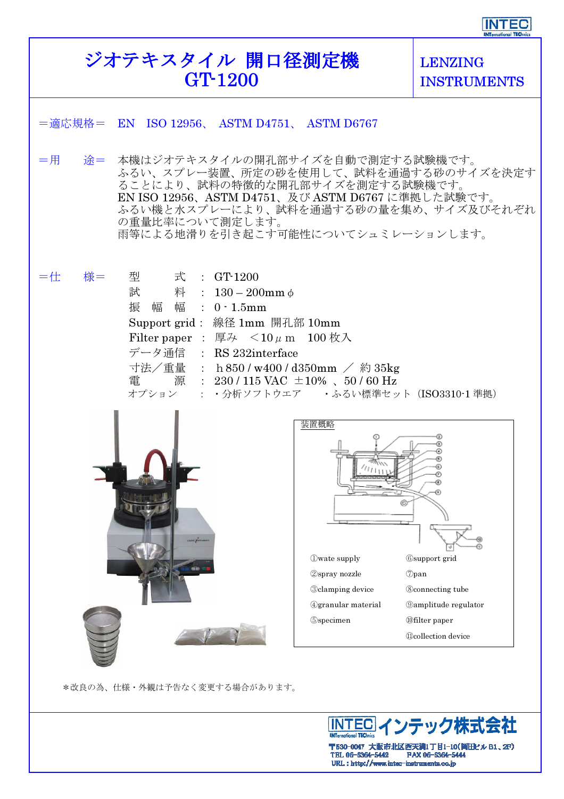## ジオテキスタイル 開口径測定機 GT-1200

LENZING INSTRUMENTS

| =適応規格= EN ISO 12956、 ASTM D4751、 ASTM D6767                                                                                                                                                                                                                                                                                          |                                                                                                                                         |                                                                                                                                                                              |
|--------------------------------------------------------------------------------------------------------------------------------------------------------------------------------------------------------------------------------------------------------------------------------------------------------------------------------------|-----------------------------------------------------------------------------------------------------------------------------------------|------------------------------------------------------------------------------------------------------------------------------------------------------------------------------|
| 本機はジオテキスタイルの開孔部サイズを自動で測定する試験機です。<br>$=$ 用<br>涂=<br>ふるい、スプレー装置、所定の砂を使用して、試料を通過する砂のサイズを決定す<br>ることにより、試料の特徴的な開孔部サイズを測定する試験機です。<br>EN ISO 12956、ASTM D4751、及び ASTM D6767 に準拠した試験です。<br>ふるい機と水スプレーにより、試料を通過する砂の量を集め、サイズ及びそれぞれ<br>の重量比率について測定します。<br>雨等による地滑りを引き起こす可能性についてシュミレーションします。                                                     |                                                                                                                                         |                                                                                                                                                                              |
| 様=<br>三仕:<br>型   式 : GT-1200<br>試 料 : $130 - 200$ mm $\phi$<br>振幅幅: 0 · 1.5mm<br>Support grid: 線径 1mm 開孔部 10mm<br>Filter paper : 厚み $< 10 \mu$ m $100 \text{ K}$ 入<br>データ通信 : RS 232interface<br>寸法/重量 : h 850 / w400 / d350mm / 約 35kg<br>電 源 : 230 / 115 VAC $\pm 10\%$ 、50 / 60 Hz<br>オプション : ・分析ソフトウエア · ふるい標準セット (ISO3310-1 準拠) |                                                                                                                                         |                                                                                                                                                                              |
| db at                                                                                                                                                                                                                                                                                                                                | 装置概略<br><b>Owate supply</b><br><b>2spray</b> nozzle<br><b>3clamping</b> device<br><b><i>@granular</i></b> material<br><b>S</b> specimen | <b>6</b> support grid<br>$\oslash$ pan<br><b>8</b> connecting tube<br><b><i><u></u></i></b> Oamplitude regulator<br><b><i>Ofilter paper</i></b><br><b>Wcollection</b> device |

\*改良の為、仕様・外観は予告なく変更する場合があります。



〒530-0047 大阪市北区西天満1丁目1-10(岡田ビル B1、2F)<br>TEL 06-6364-5442 FAX 06-6364-5444<br>URL : http://www.intec-instruments.co.jp